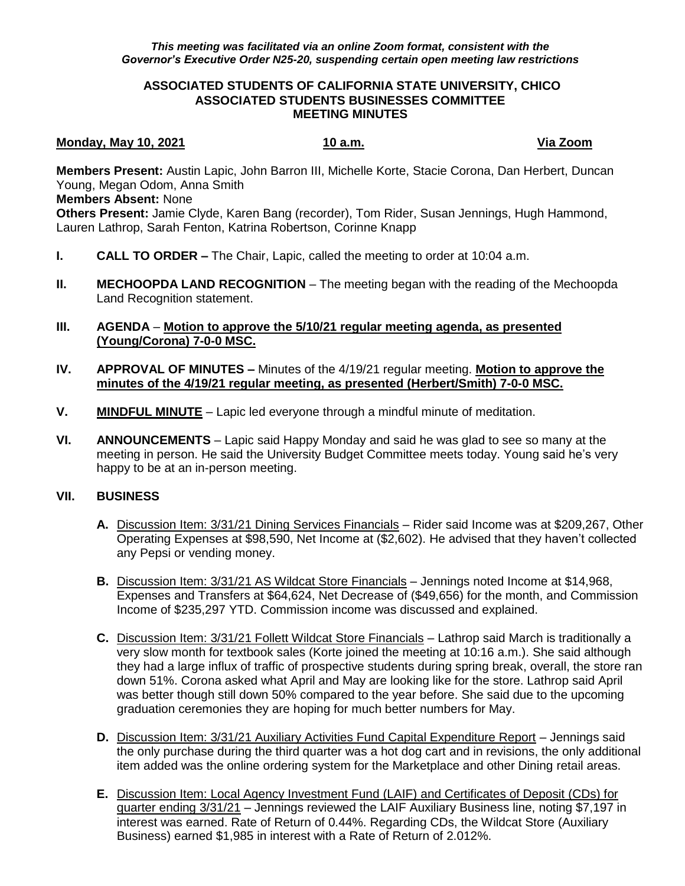### **ASSOCIATED STUDENTS OF CALIFORNIA STATE UNIVERSITY, CHICO ASSOCIATED STUDENTS BUSINESSES COMMITTEE MEETING MINUTES**

## **Monday, May 10, 2021 10 a.m. Via Zoom**

**Members Present:** Austin Lapic, John Barron III, Michelle Korte, Stacie Corona, Dan Herbert, Duncan Young, Megan Odom, Anna Smith

## **Members Absent:** None

**Others Present:** Jamie Clyde, Karen Bang (recorder), Tom Rider, Susan Jennings, Hugh Hammond, Lauren Lathrop, Sarah Fenton, Katrina Robertson, Corinne Knapp

- **I. CALL TO ORDER –** The Chair, Lapic, called the meeting to order at 10:04 a.m.
- **II. MECHOOPDA LAND RECOGNITION** The meeting began with the reading of the Mechoopda Land Recognition statement.

## **III. AGENDA** – **Motion to approve the 5/10/21 regular meeting agenda, as presented (Young/Corona) 7-0-0 MSC.**

- **IV. APPROVAL OF MINUTES –** Minutes of the 4/19/21 regular meeting. **Motion to approve the minutes of the 4/19/21 regular meeting, as presented (Herbert/Smith) 7-0-0 MSC.**
- **V. MINDFUL MINUTE** Lapic led everyone through a mindful minute of meditation.
- **VI. ANNOUNCEMENTS** Lapic said Happy Monday and said he was glad to see so many at the meeting in person. He said the University Budget Committee meets today. Young said he's very happy to be at an in-person meeting.

# **VII. BUSINESS**

- **A.** Discussion Item: 3/31/21 Dining Services Financials Rider said Income was at \$209,267, Other Operating Expenses at \$98,590, Net Income at (\$2,602). He advised that they haven't collected any Pepsi or vending money.
- **B.** Discussion Item: 3/31/21 AS Wildcat Store Financials Jennings noted Income at \$14,968, Expenses and Transfers at \$64,624, Net Decrease of (\$49,656) for the month, and Commission Income of \$235,297 YTD. Commission income was discussed and explained.
- **C.** Discussion Item: 3/31/21 Follett Wildcat Store Financials Lathrop said March is traditionally a very slow month for textbook sales (Korte joined the meeting at 10:16 a.m.). She said although they had a large influx of traffic of prospective students during spring break, overall, the store ran down 51%. Corona asked what April and May are looking like for the store. Lathrop said April was better though still down 50% compared to the year before. She said due to the upcoming graduation ceremonies they are hoping for much better numbers for May.
- **D.** Discussion Item: 3/31/21 Auxiliary Activities Fund Capital Expenditure Report Jennings said the only purchase during the third quarter was a hot dog cart and in revisions, the only additional item added was the online ordering system for the Marketplace and other Dining retail areas.
- **E.** Discussion Item: Local Agency Investment Fund (LAIF) and Certificates of Deposit (CDs) for quarter ending 3/31/21 – Jennings reviewed the LAIF Auxiliary Business line, noting \$7,197 in interest was earned. Rate of Return of 0.44%. Regarding CDs, the Wildcat Store (Auxiliary Business) earned \$1,985 in interest with a Rate of Return of 2.012%.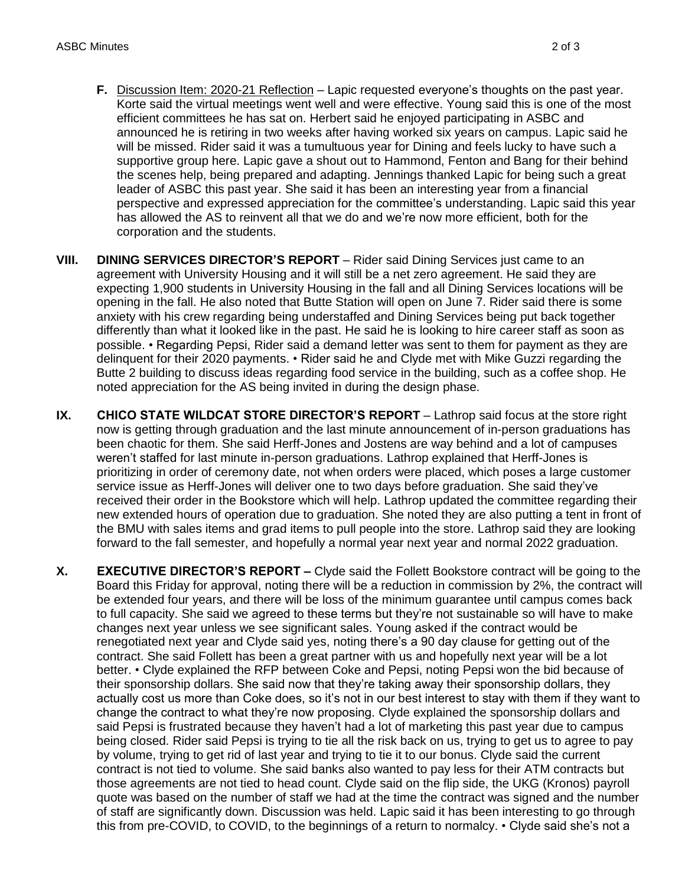- **F.** Discussion Item: 2020-21 Reflection Lapic requested everyone's thoughts on the past year. Korte said the virtual meetings went well and were effective. Young said this is one of the most efficient committees he has sat on. Herbert said he enjoyed participating in ASBC and announced he is retiring in two weeks after having worked six years on campus. Lapic said he will be missed. Rider said it was a tumultuous year for Dining and feels lucky to have such a supportive group here. Lapic gave a shout out to Hammond, Fenton and Bang for their behind the scenes help, being prepared and adapting. Jennings thanked Lapic for being such a great leader of ASBC this past year. She said it has been an interesting year from a financial perspective and expressed appreciation for the committee's understanding. Lapic said this year has allowed the AS to reinvent all that we do and we're now more efficient, both for the corporation and the students.
- **VIII.** DINING SERVICES DIRECTOR'S REPORT Rider said Dining Services just came to an agreement with University Housing and it will still be a net zero agreement. He said they are expecting 1,900 students in University Housing in the fall and all Dining Services locations will be opening in the fall. He also noted that Butte Station will open on June 7. Rider said there is some anxiety with his crew regarding being understaffed and Dining Services being put back together differently than what it looked like in the past. He said he is looking to hire career staff as soon as possible. • Regarding Pepsi, Rider said a demand letter was sent to them for payment as they are delinquent for their 2020 payments. • Rider said he and Clyde met with Mike Guzzi regarding the Butte 2 building to discuss ideas regarding food service in the building, such as a coffee shop. He noted appreciation for the AS being invited in during the design phase.
- **IX.** CHICO STATE WILDCAT STORE DIRECTOR'S REPORT Lathrop said focus at the store right now is getting through graduation and the last minute announcement of in-person graduations has been chaotic for them. She said Herff-Jones and Jostens are way behind and a lot of campuses weren't staffed for last minute in-person graduations. Lathrop explained that Herff-Jones is prioritizing in order of ceremony date, not when orders were placed, which poses a large customer service issue as Herff-Jones will deliver one to two days before graduation. She said they've received their order in the Bookstore which will help. Lathrop updated the committee regarding their new extended hours of operation due to graduation. She noted they are also putting a tent in front of the BMU with sales items and grad items to pull people into the store. Lathrop said they are looking forward to the fall semester, and hopefully a normal year next year and normal 2022 graduation.
- **X. EXECUTIVE DIRECTOR'S REPORT –** Clyde said the Follett Bookstore contract will be going to the Board this Friday for approval, noting there will be a reduction in commission by 2%, the contract will be extended four years, and there will be loss of the minimum guarantee until campus comes back to full capacity. She said we agreed to these terms but they're not sustainable so will have to make changes next year unless we see significant sales. Young asked if the contract would be renegotiated next year and Clyde said yes, noting there's a 90 day clause for getting out of the contract. She said Follett has been a great partner with us and hopefully next year will be a lot better. • Clyde explained the RFP between Coke and Pepsi, noting Pepsi won the bid because of their sponsorship dollars. She said now that they're taking away their sponsorship dollars, they actually cost us more than Coke does, so it's not in our best interest to stay with them if they want to change the contract to what they're now proposing. Clyde explained the sponsorship dollars and said Pepsi is frustrated because they haven't had a lot of marketing this past year due to campus being closed. Rider said Pepsi is trying to tie all the risk back on us, trying to get us to agree to pay by volume, trying to get rid of last year and trying to tie it to our bonus. Clyde said the current contract is not tied to volume. She said banks also wanted to pay less for their ATM contracts but those agreements are not tied to head count. Clyde said on the flip side, the UKG (Kronos) payroll quote was based on the number of staff we had at the time the contract was signed and the number of staff are significantly down. Discussion was held. Lapic said it has been interesting to go through this from pre-COVID, to COVID, to the beginnings of a return to normalcy. • Clyde said she's not a